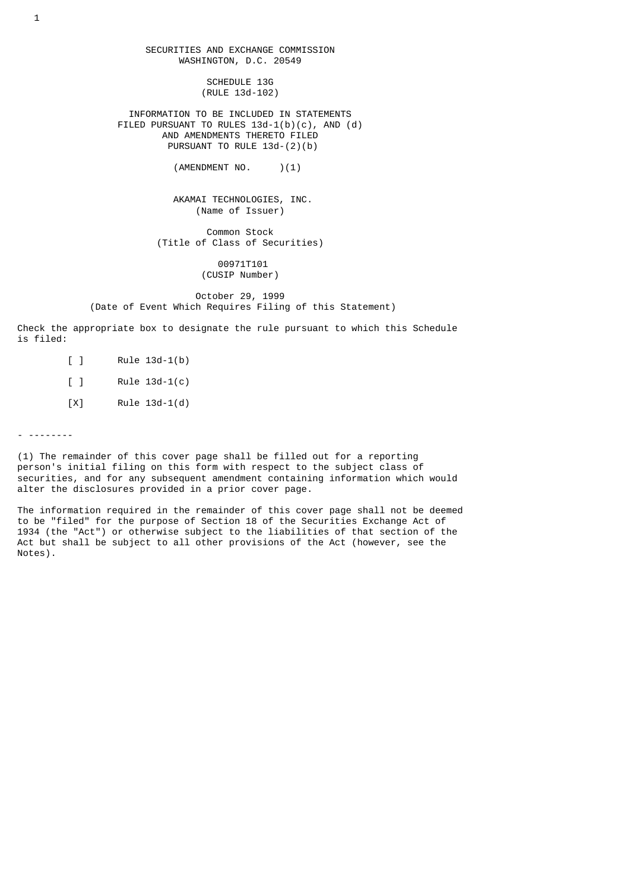SECURITIES AND EXCHANGE COMMISSION WASHINGTON, D.C. 20549 SCHEDULE 13G (RULE 13d-102) INFORMATION TO BE INCLUDED IN STATEMENTS FILED PURSUANT TO RULES 13d-1(b)(c), AND (d) AND AMENDMENTS THERETO FILED PURSUANT TO RULE 13d-(2)(b) (AMENDMENT NO. )(1) AKAMAI TECHNOLOGIES, INC. (Name of Issuer) Common Stock (Title of Class of Securities) 00971T101 (CUSIP Number) October 29, 1999 (Date of Event Which Requires Filing of this Statement)

Check the appropriate box to designate the rule pursuant to which this Schedule

is filed:

- [ ] Rule 13d-1(b) [ ] Rule 13d-1(c)
- [X] Rule 13d-1(d)

- --------

(1) The remainder of this cover page shall be filled out for a reporting person's initial filing on this form with respect to the subject class of securities, and for any subsequent amendment containing information which would alter the disclosures provided in a prior cover page.

The information required in the remainder of this cover page shall not be deemed to be "filed" for the purpose of Section 18 of the Securities Exchange Act of 1934 (the "Act") or otherwise subject to the liabilities of that section of the Act but shall be subject to all other provisions of the Act (however, see the Notes).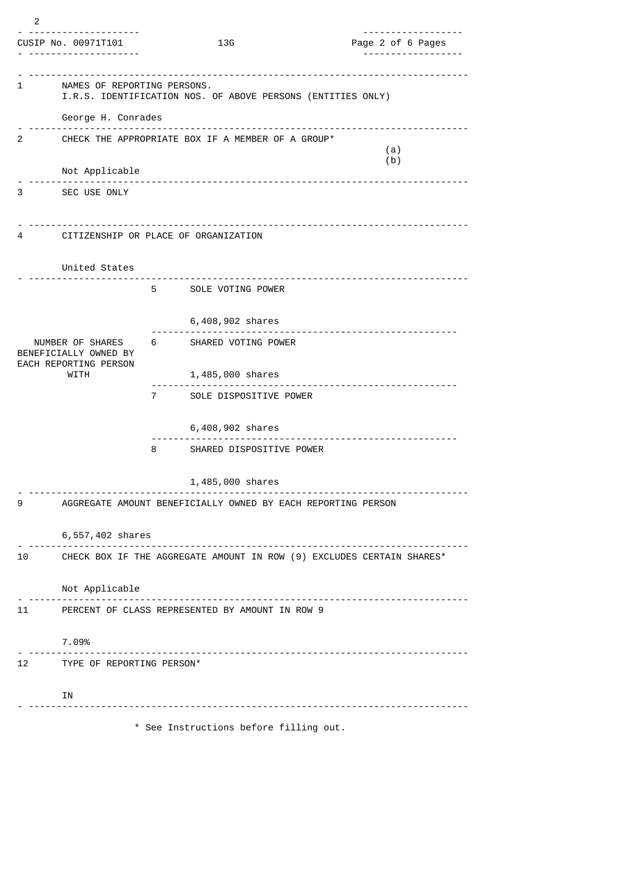| 13G<br>CUSIP No. 00971T101<br>Page 2 of 6 Pages<br>NAMES OF REPORTING PERSONS.<br>1<br>I.R.S. IDENTIFICATION NOS. OF ABOVE PERSONS (ENTITIES ONLY)<br>George H. Conrades<br>2<br>CHECK THE APPROPRIATE BOX IF A MEMBER OF A GROUP*<br>(a)<br>(b)<br>Not Applicable<br>.<br>------------------------<br>3<br>SEC USE ONLY<br>CITIZENSHIP OR PLACE OF ORGANIZATION<br>4<br>United States<br>5 SOLE VOTING POWER<br>6,408,902 shares<br>NUMBER OF SHARES<br>6 SHARED VOTING POWER<br>BENEFICIALLY OWNED BY<br>EACH REPORTING PERSON<br>WITH<br>1,485,000 shares<br>.<br>-------------------<br>SOLE DISPOSITIVE POWER<br>7 | 2 |  |  |  |  |  |  |  |  |
|-------------------------------------------------------------------------------------------------------------------------------------------------------------------------------------------------------------------------------------------------------------------------------------------------------------------------------------------------------------------------------------------------------------------------------------------------------------------------------------------------------------------------------------------------------------------------------------------------------------------------|---|--|--|--|--|--|--|--|--|
|                                                                                                                                                                                                                                                                                                                                                                                                                                                                                                                                                                                                                         |   |  |  |  |  |  |  |  |  |
|                                                                                                                                                                                                                                                                                                                                                                                                                                                                                                                                                                                                                         |   |  |  |  |  |  |  |  |  |
|                                                                                                                                                                                                                                                                                                                                                                                                                                                                                                                                                                                                                         |   |  |  |  |  |  |  |  |  |
|                                                                                                                                                                                                                                                                                                                                                                                                                                                                                                                                                                                                                         |   |  |  |  |  |  |  |  |  |
|                                                                                                                                                                                                                                                                                                                                                                                                                                                                                                                                                                                                                         |   |  |  |  |  |  |  |  |  |
|                                                                                                                                                                                                                                                                                                                                                                                                                                                                                                                                                                                                                         |   |  |  |  |  |  |  |  |  |
|                                                                                                                                                                                                                                                                                                                                                                                                                                                                                                                                                                                                                         |   |  |  |  |  |  |  |  |  |
|                                                                                                                                                                                                                                                                                                                                                                                                                                                                                                                                                                                                                         |   |  |  |  |  |  |  |  |  |
|                                                                                                                                                                                                                                                                                                                                                                                                                                                                                                                                                                                                                         |   |  |  |  |  |  |  |  |  |
|                                                                                                                                                                                                                                                                                                                                                                                                                                                                                                                                                                                                                         |   |  |  |  |  |  |  |  |  |
|                                                                                                                                                                                                                                                                                                                                                                                                                                                                                                                                                                                                                         |   |  |  |  |  |  |  |  |  |
|                                                                                                                                                                                                                                                                                                                                                                                                                                                                                                                                                                                                                         |   |  |  |  |  |  |  |  |  |
|                                                                                                                                                                                                                                                                                                                                                                                                                                                                                                                                                                                                                         |   |  |  |  |  |  |  |  |  |
|                                                                                                                                                                                                                                                                                                                                                                                                                                                                                                                                                                                                                         |   |  |  |  |  |  |  |  |  |
| 6,408,902 shares                                                                                                                                                                                                                                                                                                                                                                                                                                                                                                                                                                                                        |   |  |  |  |  |  |  |  |  |
| 8<br>SHARED DISPOSITIVE POWER                                                                                                                                                                                                                                                                                                                                                                                                                                                                                                                                                                                           |   |  |  |  |  |  |  |  |  |
| 1,485,000 shares                                                                                                                                                                                                                                                                                                                                                                                                                                                                                                                                                                                                        |   |  |  |  |  |  |  |  |  |
| 9<br>AGGREGATE AMOUNT BENEFICIALLY OWNED BY EACH REPORTING PERSON                                                                                                                                                                                                                                                                                                                                                                                                                                                                                                                                                       |   |  |  |  |  |  |  |  |  |
| 6,557,402 shares                                                                                                                                                                                                                                                                                                                                                                                                                                                                                                                                                                                                        |   |  |  |  |  |  |  |  |  |
| 10 CHECK BOX IF THE AGGREGATE AMOUNT IN ROW (9) EXCLUDES CERTAIN SHARES*                                                                                                                                                                                                                                                                                                                                                                                                                                                                                                                                                |   |  |  |  |  |  |  |  |  |
| Not Applicable                                                                                                                                                                                                                                                                                                                                                                                                                                                                                                                                                                                                          |   |  |  |  |  |  |  |  |  |
| 11 PERCENT OF CLASS REPRESENTED BY AMOUNT IN ROW 9                                                                                                                                                                                                                                                                                                                                                                                                                                                                                                                                                                      |   |  |  |  |  |  |  |  |  |
| 7.09%                                                                                                                                                                                                                                                                                                                                                                                                                                                                                                                                                                                                                   |   |  |  |  |  |  |  |  |  |
| 12 TYPE OF REPORTING PERSON*                                                                                                                                                                                                                                                                                                                                                                                                                                                                                                                                                                                            |   |  |  |  |  |  |  |  |  |
| ΙN                                                                                                                                                                                                                                                                                                                                                                                                                                                                                                                                                                                                                      |   |  |  |  |  |  |  |  |  |
| * See Instructions before filling out.                                                                                                                                                                                                                                                                                                                                                                                                                                                                                                                                                                                  |   |  |  |  |  |  |  |  |  |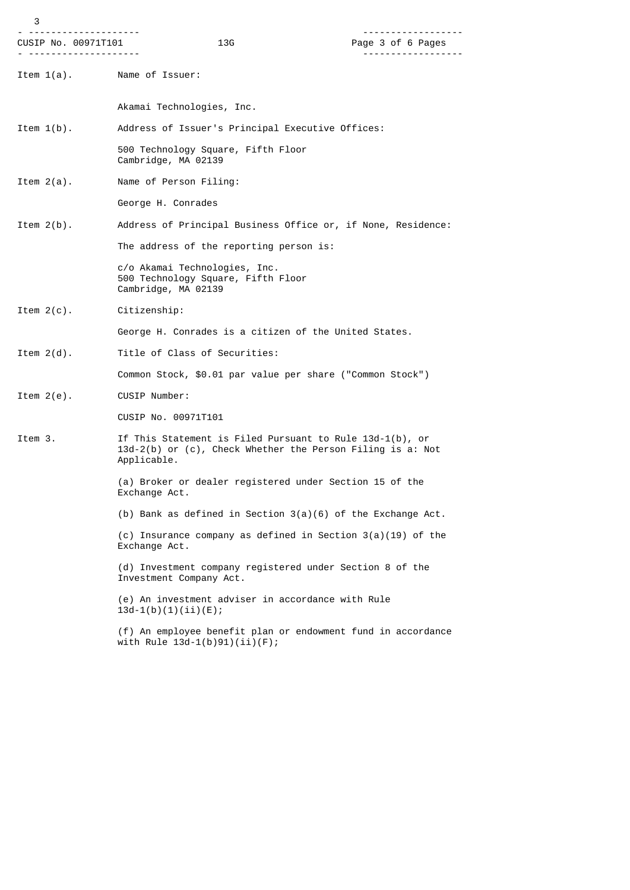| 3                          |                                                                                                                                          | . <u>.</u> .      |
|----------------------------|------------------------------------------------------------------------------------------------------------------------------------------|-------------------|
| CUSIP No. 00971T101        | 13G                                                                                                                                      | Page 3 of 6 Pages |
| Item 1(a). Name of Issuer: |                                                                                                                                          |                   |
|                            | Akamai Technologies, Inc.                                                                                                                |                   |
| Item $1(b)$ .              | Address of Issuer's Principal Executive Offices:                                                                                         |                   |
|                            | 500 Technology Square, Fifth Floor<br>Cambridge, MA 02139                                                                                |                   |
| Item $2(a)$ .              | Name of Person Filing:                                                                                                                   |                   |
|                            | George H. Conrades                                                                                                                       |                   |
| Item $2(b)$ .              | Address of Principal Business Office or, if None, Residence:                                                                             |                   |
|                            | The address of the reporting person is:                                                                                                  |                   |
|                            | c/o Akamai Technologies, Inc.<br>500 Technology Square, Fifth Floor<br>Cambridge, MA 02139                                               |                   |
| Item $2(c)$ .              | Citizenship:                                                                                                                             |                   |
|                            | George H. Conrades is a citizen of the United States.                                                                                    |                   |
| Item $2(d)$ .              | Title of Class of Securities:                                                                                                            |                   |
|                            | Common Stock, \$0.01 par value per share ("Common Stock")                                                                                |                   |
| Item $2(e)$ .              | CUSIP Number:                                                                                                                            |                   |
|                            | CUSIP No. 00971T101                                                                                                                      |                   |
| Item 3.                    | If This Statement is Filed Pursuant to Rule $13d-1(b)$ , or<br>13d-2(b) or (c), Check Whether the Person Filing is a: Not<br>Applicable. |                   |
|                            | (a) Broker or dealer registered under Section 15 of the<br>Exchange Act.                                                                 |                   |
|                            | (b) Bank as defined in Section $3(a)(6)$ of the Exchange Act.                                                                            |                   |
|                            | (c) Insurance company as defined in Section $3(a)(19)$ of the<br>Exchange Act.                                                           |                   |
|                            | (d) Investment company registered under Section 8 of the<br>Investment Company Act.                                                      |                   |
|                            | (e) An investment adviser in accordance with Rule<br>$13d-1(b)(1)(ii)(E);$                                                               |                   |
|                            |                                                                                                                                          |                   |

 (f) An employee benefit plan or endowment fund in accordance with Rule 13d-1(b)91)(ii)(F);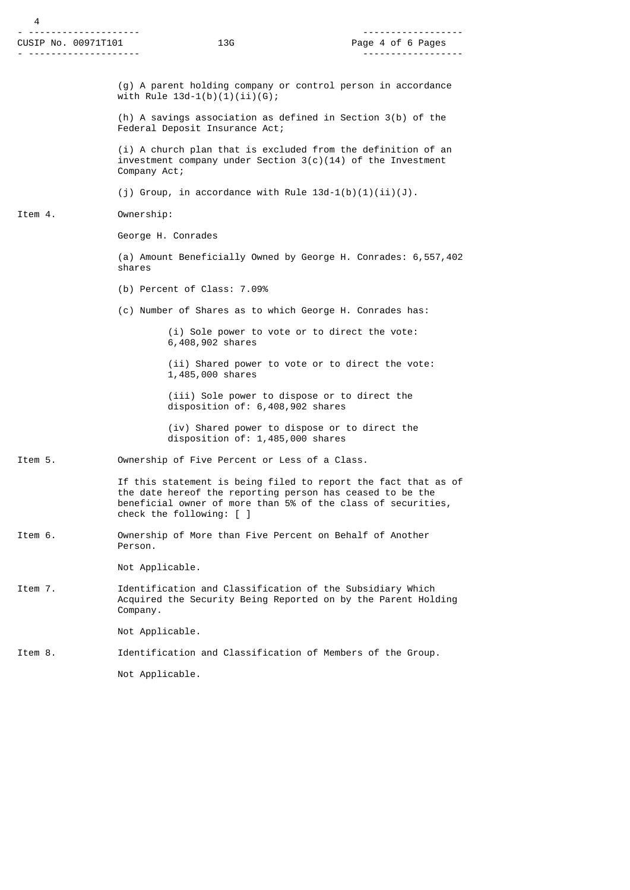|  | CUSIP No. 00971T101 |
|--|---------------------|
|  |                     |

 (g) A parent holding company or control person in accordance with Rule  $13d-1(b)(1)(ii)(6)$ ;

 (h) A savings association as defined in Section 3(b) of the Federal Deposit Insurance Act;

 (i) A church plan that is excluded from the definition of an investment company under Section  $3(c)(14)$  of the Investment Company Act;

(j) Group, in accordance with Rule  $13d-1(b)(1)(ii)(J)$ .

## Item 4. Ownership:

George H. Conrades

 (a) Amount Beneficially Owned by George H. Conrades: 6,557,402 shares

(b) Percent of Class: 7.09%

(c) Number of Shares as to which George H. Conrades has:

 (i) Sole power to vote or to direct the vote: 6,408,902 shares

 (ii) Shared power to vote or to direct the vote: 1,485,000 shares

 (iii) Sole power to dispose or to direct the disposition of: 6,408,902 shares

 (iv) Shared power to dispose or to direct the disposition of: 1,485,000 shares

Item 5. Ownership of Five Percent or Less of a Class.

 If this statement is being filed to report the fact that as of the date hereof the reporting person has ceased to be the beneficial owner of more than 5% of the class of securities, check the following: [ ]

Item 6. Ownership of More than Five Percent on Behalf of Another Person.

Not Applicable.

Item 7. Identification and Classification of the Subsidiary Which Acquired the Security Being Reported on by the Parent Holding Company.

Not Applicable.

Item 8. Identification and Classification of Members of the Group.

Not Applicable.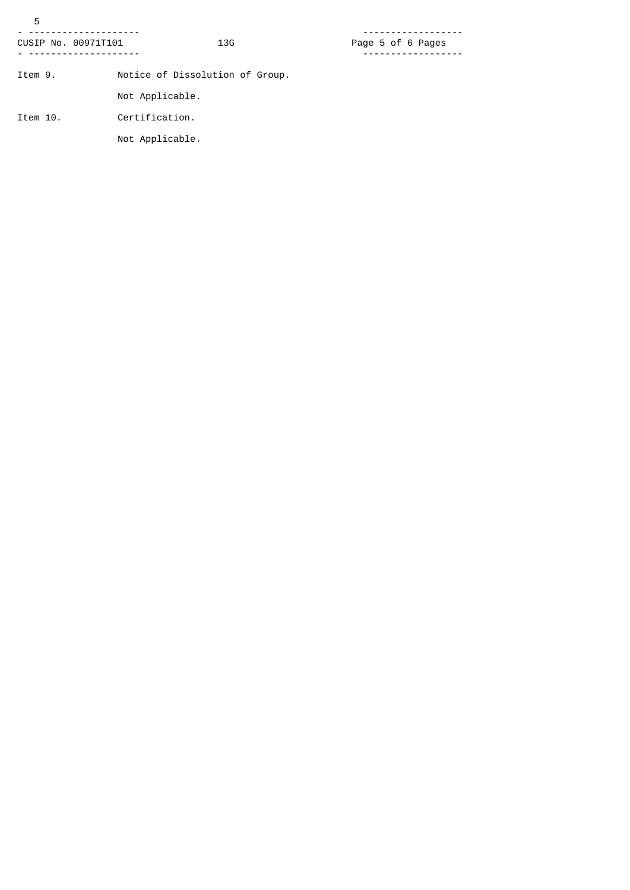| 5                   |                                 |                   |
|---------------------|---------------------------------|-------------------|
| CUSIP No. 00971T101 | 13G                             | Page 5 of 6 Pages |
| Item 9.             | Notice of Dissolution of Group. |                   |
|                     | Not Applicable.                 |                   |
| Item 10.            | Certification.                  |                   |
|                     | Not Applicable.                 |                   |
|                     |                                 |                   |